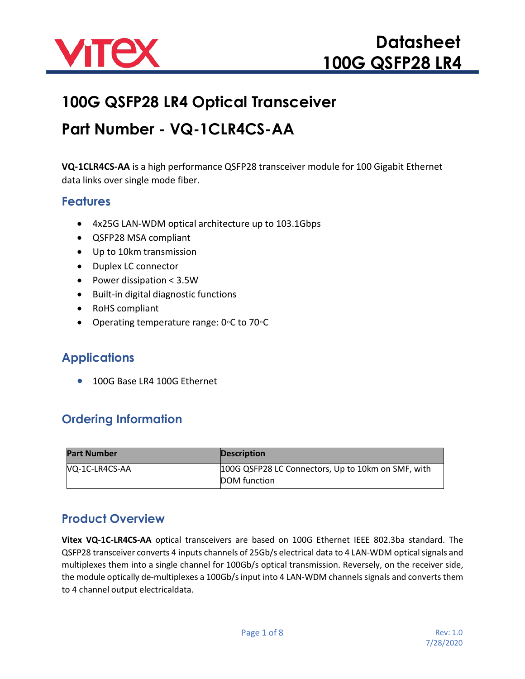

# **100G QSFP28 LR4 Optical Transceiver**

# **Part Number - VQ-1CLR4CS-AA**

**VQ-1CLR4CS-AA** is a high performance QSFP28 transceiver module for 100 Gigabit Ethernet data links over single mode fiber.

#### **Features**

- 4x25G LAN-WDM optical architecture up to 103.1Gbps
- QSFP28 MSA compliant
- Up to 10km transmission
- Duplex LC connector
- Power dissipation < 3.5W
- Built-in digital diagnostic functions
- RoHS compliant
- Operating temperature range: 0◦C to 70◦C

### **Applications**

• 100G Base LR4 100G Ethernet

## **Ordering Information**

| Part Number    | <b>Description</b>                                 |
|----------------|----------------------------------------------------|
| VQ-1C-LR4CS-AA | 100G QSFP28 LC Connectors, Up to 10km on SMF, with |
|                | DOM function                                       |

### **Product Overview**

**Vitex VQ-1C-LR4CS-AA** optical transceivers are based on 100G Ethernet IEEE 802.3ba standard. The QSFP28 transceiver converts 4 inputs channels of 25Gb/s electrical data to 4 LAN-WDM opticalsignals and multiplexes them into a single channel for 100Gb/s optical transmission. Reversely, on the receiver side, the module optically de-multiplexes a 100Gb/sinput into 4 LAN-WDM channelssignals and converts them to 4 channel output electricaldata.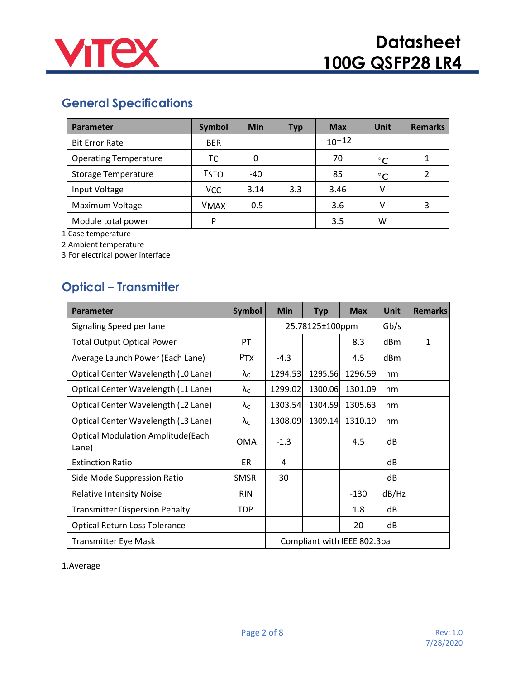

# **General Specifications**

| Parameter                    | <b>Symbol</b> | <b>Min</b> | <b>Typ</b> | <b>Max</b> | <b>Unit</b>  | <b>Remarks</b> |
|------------------------------|---------------|------------|------------|------------|--------------|----------------|
| <b>Bit Error Rate</b>        | <b>BER</b>    |            |            | $10^{-12}$ |              |                |
| <b>Operating Temperature</b> | ТC            | 0          |            | 70         | $^{\circ}$ C |                |
| <b>Storage Temperature</b>   | <b>TSTO</b>   | $-40$      |            | 85         | $^{\circ}C$  |                |
| Input Voltage                | Vcc           | 3.14       | 3.3        | 3.46       | v            |                |
| Maximum Voltage              | <b>VMAX</b>   | $-0.5$     |            | 3.6        | v            | 3              |
| Module total power           | D             |            |            | 3.5        | w            |                |

1.Case temperature

2.Ambient temperature

3.For electrical power interface

# **Optical – Transmitter**

| <b>Parameter</b>                                  | Symbol               | <b>Min</b>                  | <b>Typ</b> | <b>Max</b> | <b>Unit</b>     | <b>Remarks</b> |
|---------------------------------------------------|----------------------|-----------------------------|------------|------------|-----------------|----------------|
| Signaling Speed per lane                          |                      | 25.78125±100ppm             |            | Gb/s       |                 |                |
| <b>Total Output Optical Power</b>                 | P <sub>T</sub>       |                             |            | 8.3        | d <sub>Bm</sub> | $\mathbf{1}$   |
| Average Launch Power (Each Lane)                  | <b>PTX</b>           | $-4.3$                      |            | 4.5        | dBm             |                |
| Optical Center Wavelength (LO Lane)               | $\lambda_c$          | 1294.53                     | 1295.56    | 1296.59    | nm              |                |
| Optical Center Wavelength (L1 Lane)               | $\lambda_{\text{C}}$ | 1299.02                     | 1300.06    | 1301.09    | nm              |                |
| Optical Center Wavelength (L2 Lane)               | $\lambda_c$          | 1303.54                     | 1304.59    | 1305.63    | nm              |                |
| Optical Center Wavelength (L3 Lane)               | $\lambda_{\rm C}$    | 1308.09                     | 1309.14    | 1310.19    | nm              |                |
| <b>Optical Modulation Amplitude(Each</b><br>Lane) | OMA                  | $-1.3$                      |            | 4.5        | dB              |                |
| <b>Extinction Ratio</b>                           | ER.                  | 4                           |            |            | dB              |                |
| Side Mode Suppression Ratio                       | <b>SMSR</b>          | 30                          |            |            | dB              |                |
| <b>Relative Intensity Noise</b>                   | <b>RIN</b>           |                             |            | $-130$     | dB/Hz           |                |
| <b>Transmitter Dispersion Penalty</b>             | <b>TDP</b>           |                             |            | 1.8        | dB              |                |
| Optical Return Loss Tolerance                     |                      |                             |            | 20         | dB              |                |
| <b>Transmitter Eye Mask</b>                       |                      | Compliant with IEEE 802.3ba |            |            |                 |                |

1.Average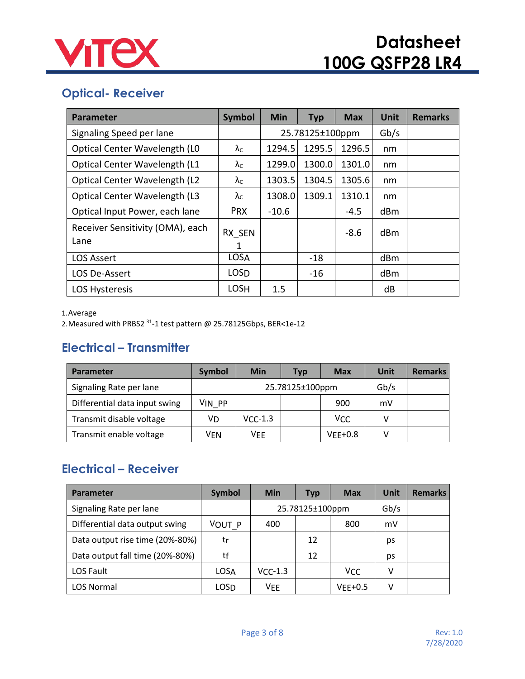

# **Optical- Receiver**

| <b>Parameter</b>                         | <b>Symbol</b>        | <b>Min</b> | <b>Typ</b>      | <b>Max</b> | <b>Unit</b> | <b>Remarks</b> |
|------------------------------------------|----------------------|------------|-----------------|------------|-------------|----------------|
| Signaling Speed per lane                 |                      |            | 25.78125±100ppm |            |             |                |
| Optical Center Wavelength (LO            | $\lambda_{\text{C}}$ | 1294.5     | 1295.5          | 1296.5     | nm          |                |
| Optical Center Wavelength (L1            | $\lambda_c$          | 1299.0     | 1300.0          | 1301.0     | nm          |                |
| Optical Center Wavelength (L2            | $\lambda_{\text{C}}$ | 1303.5     | 1304.5          | 1305.6     | nm          |                |
| Optical Center Wavelength (L3            | $\lambda_{\text{C}}$ | 1308.0     | 1309.1          | 1310.1     | nm          |                |
| Optical Input Power, each lane           | <b>PRX</b>           | $-10.6$    |                 | $-4.5$     | dBm         |                |
| Receiver Sensitivity (OMA), each<br>Lane | RX SEN<br>1          |            |                 | $-8.6$     | dBm         |                |
| <b>LOS Assert</b>                        | <b>LOSA</b>          |            | -18             |            | dBm         |                |
| LOS De-Assert                            | <b>LOSD</b>          |            | $-16$           |            | dBm         |                |
| <b>LOS Hysteresis</b>                    | <b>LOSH</b>          | 1.5        |                 |            | dB          |                |

#### 1.Average

2.Measured with PRBS2 31-1 test pattern @ 25.78125Gbps, BER<1e-12

## **Electrical – Transmitter**

| <b>Parameter</b>              | <b>Symbol</b> | <b>Min</b>      | Typ | <b>Max</b> | Unit | <b>Remarks</b> |
|-------------------------------|---------------|-----------------|-----|------------|------|----------------|
| Signaling Rate per lane       |               | 25.78125±100ppm |     | Gb/s       |      |                |
| Differential data input swing | VIN PP        |                 |     | 900        | mV   |                |
| Transmit disable voltage      | VD            | $VC-1.3$        |     | VCC        |      |                |
| Transmit enable voltage       | Ven           | VFF             |     | $VEE+0.8$  |      |                |

## **Electrical – Receiver**

| <b>Parameter</b>                | <b>Symbol</b> | Min             | <b>Typ</b> | <b>Max</b> | Unit | <b>Remarks</b> |
|---------------------------------|---------------|-----------------|------------|------------|------|----------------|
| Signaling Rate per lane         |               | 25.78125±100ppm |            | Gb/s       |      |                |
| Differential data output swing  | VOUT P        | 400             |            | 800        | mV   |                |
| Data output rise time (20%-80%) | tr            |                 | 12         |            | ps   |                |
| Data output fall time (20%-80%) | tf            |                 | 12         |            | ps   |                |
| <b>LOS Fault</b>                | LOSA          | $VCC-1.3$       |            | <b>VCC</b> | v    |                |
| <b>LOS Normal</b>               | LOSD          | VEE             |            | VFF+0.5    | v    |                |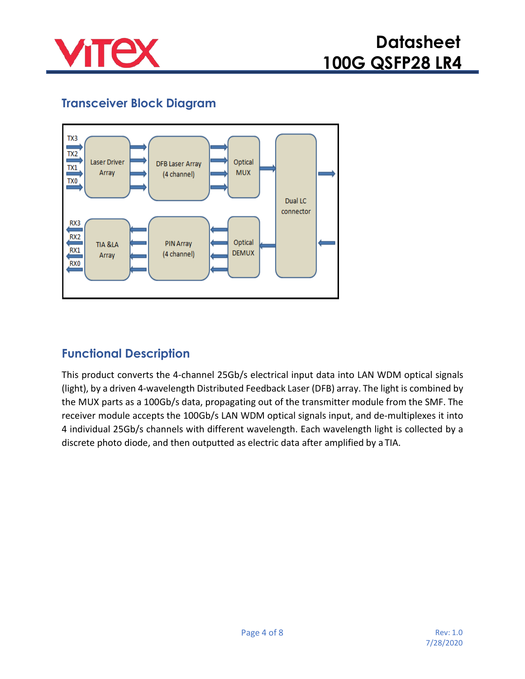

# **Transceiver Block Diagram**



### **Functional Description**

This product converts the 4-channel 25Gb/s electrical input data into LAN WDM optical signals (light), by a driven 4-wavelength Distributed Feedback Laser (DFB) array. The light is combined by the MUX parts as a 100Gb/s data, propagating out of the transmitter module from the SMF. The receiver module accepts the 100Gb/s LAN WDM optical signals input, and de-multiplexes it into 4 individual 25Gb/s channels with different wavelength. Each wavelength light is collected by a discrete photo diode, and then outputted as electric data after amplified by a TIA.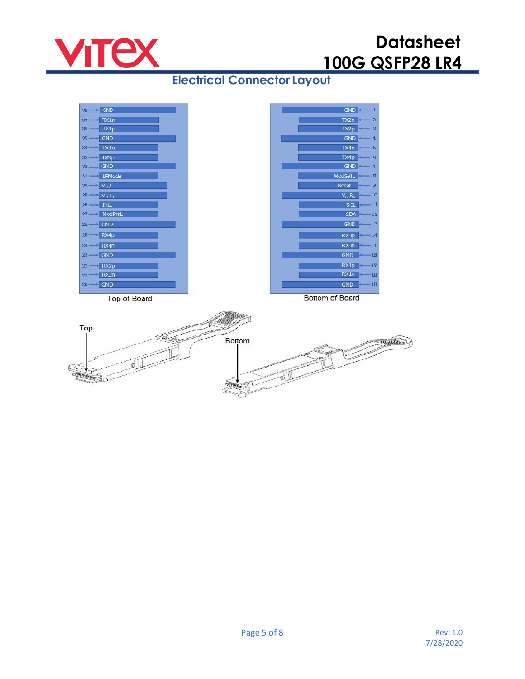

# **Datasheet 100G QSFP28 LR4**

# **Electrical Connector Layout**

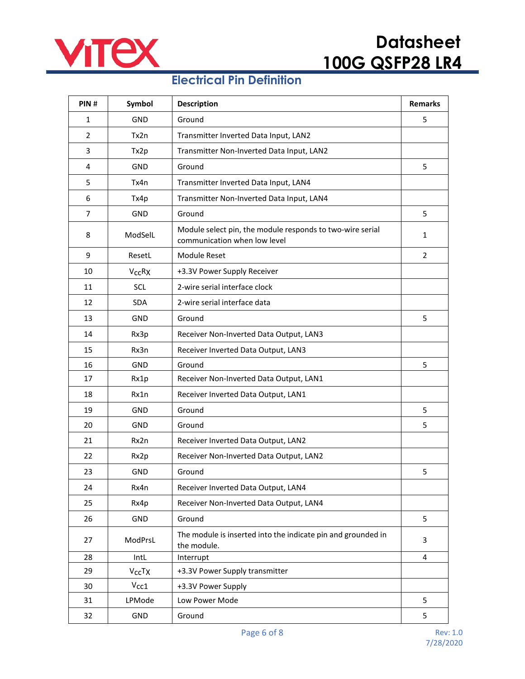

#### **Electrical Pin Definition**

| PIN#           | Symbol                         | <b>Description</b>                                                                        | <b>Remarks</b> |
|----------------|--------------------------------|-------------------------------------------------------------------------------------------|----------------|
| $\mathbf{1}$   | <b>GND</b>                     | Ground                                                                                    | 5              |
| $\overline{2}$ | Tx2n                           | Transmitter Inverted Data Input, LAN2                                                     |                |
| 3              | Tx2p                           | Transmitter Non-Inverted Data Input, LAN2                                                 |                |
| 4              | <b>GND</b>                     | Ground                                                                                    | 5              |
| 5              | Tx4n                           | Transmitter Inverted Data Input, LAN4                                                     |                |
| 6              | Tx4p                           | Transmitter Non-Inverted Data Input, LAN4                                                 |                |
| $\overline{7}$ | GND                            | Ground                                                                                    | 5              |
| 8              | ModSelL                        | Module select pin, the module responds to two-wire serial<br>communication when low level | $\mathbf{1}$   |
| 9              | ResetL                         | Module Reset                                                                              | $\overline{2}$ |
| 10             | $V_{CC}RX$                     | +3.3V Power Supply Receiver                                                               |                |
| 11             | SCL                            | 2-wire serial interface clock                                                             |                |
| 12             | <b>SDA</b>                     | 2-wire serial interface data                                                              |                |
| 13             | GND                            | Ground                                                                                    | 5              |
| 14             | Rx3p                           | Receiver Non-Inverted Data Output, LAN3                                                   |                |
| 15             | Rx3n                           | Receiver Inverted Data Output, LAN3                                                       |                |
| 16             | <b>GND</b>                     | Ground                                                                                    | 5              |
| 17             | Rx1p                           | Receiver Non-Inverted Data Output, LAN1                                                   |                |
| 18             | Rx1n                           | Receiver Inverted Data Output, LAN1                                                       |                |
| 19             | GND                            | Ground                                                                                    | 5              |
| 20             | <b>GND</b>                     | Ground                                                                                    | 5              |
| 21             | Rx2n                           | Receiver Inverted Data Output, LAN2                                                       |                |
| 22             | Rx2p                           | Receiver Non-Inverted Data Output, LAN2                                                   |                |
| 23             | GND                            | Ground                                                                                    | 5              |
| 24             | Rx4n                           | Receiver Inverted Data Output, LAN4                                                       |                |
| 25             | Rx4p                           | Receiver Non-Inverted Data Output, LAN4                                                   |                |
| 26             | GND                            | Ground                                                                                    | 5              |
| 27             | ModPrsL                        | The module is inserted into the indicate pin and grounded in<br>the module.               | 3              |
| 28             | IntL                           | Interrupt                                                                                 | 4              |
| 29             | V <sub>CC</sub> T <sub>X</sub> | +3.3V Power Supply transmitter                                                            |                |
| 30             | $V_{\rm CC1}$                  | +3.3V Power Supply                                                                        |                |
| 31             | LPMode                         | Low Power Mode                                                                            | 5              |
| 32             | GND                            | Ground                                                                                    | 5              |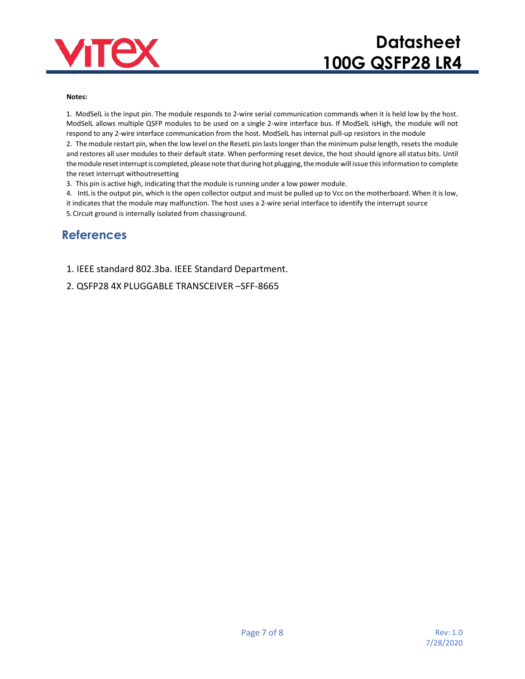

# **Datasheet 100G QSFP28 LR4**

#### **Notes:**

1. ModSelL is the input pin. The module responds to 2-wire serial communication commands when it is held low by the host. ModSelL allows multiple QSFP modules to be used on a single 2-wire interface bus. If ModSelL isHigh, the module will not respond to any 2-wire interface communication from the host. ModSelL has internal pull-up resistors in the module

2. The module restart pin, when the low level on the ResetL pin lastslonger than the minimum pulse length, resets the module and restores all user modules to their default state. When performing reset device, the host should ignore all status bits. Until the module reset interrupt is completed, please note that during hot plugging, the module will issue this information to complete the reset interrupt withoutresetting

3. This pin is active high, indicating that the module is running under a low power module.

4. IntL isthe output pin, which isthe open collector output and must be pulled up to Vcc on the motherboard. When it islow, it indicates that the module may malfunction. The host uses a 2-wire serial interface to identify the interrupt source 5.Circuit ground is internally isolated from chassisground.

#### **References**

1. IEEE standard 802.3ba. IEEE Standard Department.

2. QSFP28 4X PLUGGABLE [TRANSCEIVER](http://www.moduletek.com/Download/SFF-8665_QSFP-28-Gbs-4X-Pluggable-Transceiver-Solution(QSFP28).Rev1.9.pdf) –SFF-8665